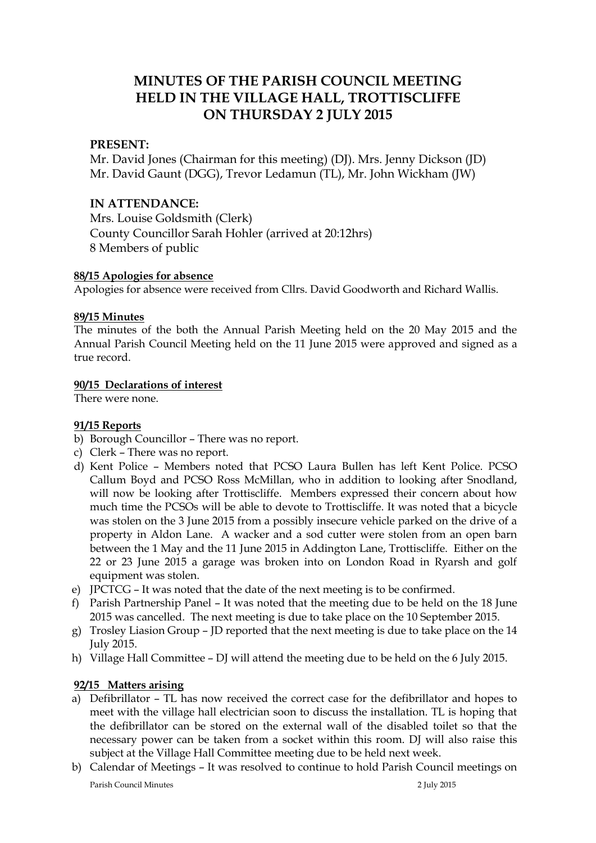# **MINUTES OF THE PARISH COUNCIL MEETING HELD IN THE VILLAGE HALL, TROTTISCLIFFE ON THURSDAY 2 JULY 2015**

## **PRESENT:**

Mr. David Jones (Chairman for this meeting) (DJ). Mrs. Jenny Dickson (JD) Mr. David Gaunt (DGG), Trevor Ledamun (TL), Mr. John Wickham (JW)

# **IN ATTENDANCE:**

Mrs. Louise Goldsmith (Clerk) County Councillor Sarah Hohler (arrived at 20:12hrs) 8 Members of public

## **88/15 Apologies for absence**

Apologies for absence were received from Cllrs. David Goodworth and Richard Wallis.

#### **89/15 Minutes**

The minutes of the both the Annual Parish Meeting held on the 20 May 2015 and the Annual Parish Council Meeting held on the 11 June 2015 were approved and signed as a true record.

## **90/15 Declarations of interest**

There were none.

## **91/15 Reports**

- b) Borough Councillor There was no report.
- c) Clerk There was no report.
- d) Kent Police Members noted that PCSO Laura Bullen has left Kent Police. PCSO Callum Boyd and PCSO Ross McMillan, who in addition to looking after Snodland, will now be looking after Trottiscliffe. Members expressed their concern about how much time the PCSOs will be able to devote to Trottiscliffe. It was noted that a bicycle was stolen on the 3 June 2015 from a possibly insecure vehicle parked on the drive of a property in Aldon Lane. A wacker and a sod cutter were stolen from an open barn between the 1 May and the 11 June 2015 in Addington Lane, Trottiscliffe. Either on the 22 or 23 June 2015 a garage was broken into on London Road in Ryarsh and golf equipment was stolen.
- e) JPCTCG It was noted that the date of the next meeting is to be confirmed.
- f) Parish Partnership Panel It was noted that the meeting due to be held on the 18 June 2015 was cancelled. The next meeting is due to take place on the 10 September 2015.
- g) Trosley Liasion Group JD reported that the next meeting is due to take place on the 14 July 2015.
- h) Village Hall Committee DJ will attend the meeting due to be held on the 6 July 2015.

## **92/15 Matters arising**

- a) Defibrillator TL has now received the correct case for the defibrillator and hopes to meet with the village hall electrician soon to discuss the installation. TL is hoping that the defibrillator can be stored on the external wall of the disabled toilet so that the necessary power can be taken from a socket within this room. DJ will also raise this subject at the Village Hall Committee meeting due to be held next week.
- b) Calendar of Meetings It was resolved to continue to hold Parish Council meetings on

Parish Council Minutes 2 July 2015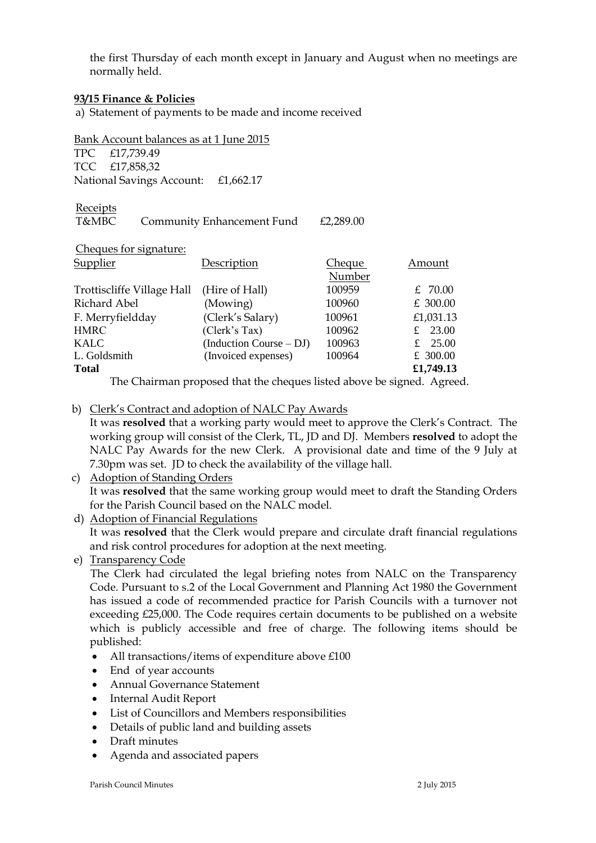the first Thursday of each month except in January and August when no meetings are normally held.

#### **93/15 Finance & Policies**

a) Statement of payments to be made and income received

Bank Account balances as at 1 June 2015

TPC £17,739.49 TCC £17,858,32 National Savings Account: £1,662.17

**Receipts** 

T&MBC Community Enhancement Fund £2,289.00

| Description               | <b>Cheque</b> | Amount    |
|---------------------------|---------------|-----------|
|                           | Number        |           |
| (Hire of Hall)            | 100959        | £ 70.00   |
| (Mowing)                  | 100960        | £ 300.00  |
| (Clerk's Salary)          | 100961        | £1,031.13 |
| (Clerk's Tax)             | 100962        | £ 23.00   |
| $(Induction Course - DJ)$ | 100963        | £ $25.00$ |
| (Invoiced expenses)       | 100964        | £ 300.00  |
|                           |               | £1,749.13 |
|                           |               |           |

The Chairman proposed that the cheques listed above be signed. Agreed.

b) Clerk's Contract and adoption of NALC Pay Awards

It was **resolved** that a working party would meet to approve the Clerk's Contract. The working group will consist of the Clerk, TL, JD and DJ. Members **resolved** to adopt the NALC Pay Awards for the new Clerk. A provisional date and time of the 9 July at 7.30pm was set. JD to check the availability of the village hall.

## c) Adoption of Standing Orders It was **resolved** that the same working group would meet to draft the Standing Orders for the Parish Council based on the NALC model.

d) Adoption of Financial Regulations It was **resolved** that the Clerk would prepare and circulate draft financial regulations and risk control procedures for adoption at the next meeting.

# e) Transparency Code

 The Clerk had circulated the legal briefing notes from NALC on the Transparency Code. Pursuant to s.2 of the Local Government and Planning Act 1980 the Government has issued a code of recommended practice for Parish Councils with a turnover not exceeding £25,000. The Code requires certain documents to be published on a website which is publicly accessible and free of charge. The following items should be published:

- All transactions/items of expenditure above £100
- End of year accounts
- Annual Governance Statement
- Internal Audit Report
- List of Councillors and Members responsibilities
- Details of public land and building assets
- Draft minutes
- Agenda and associated papers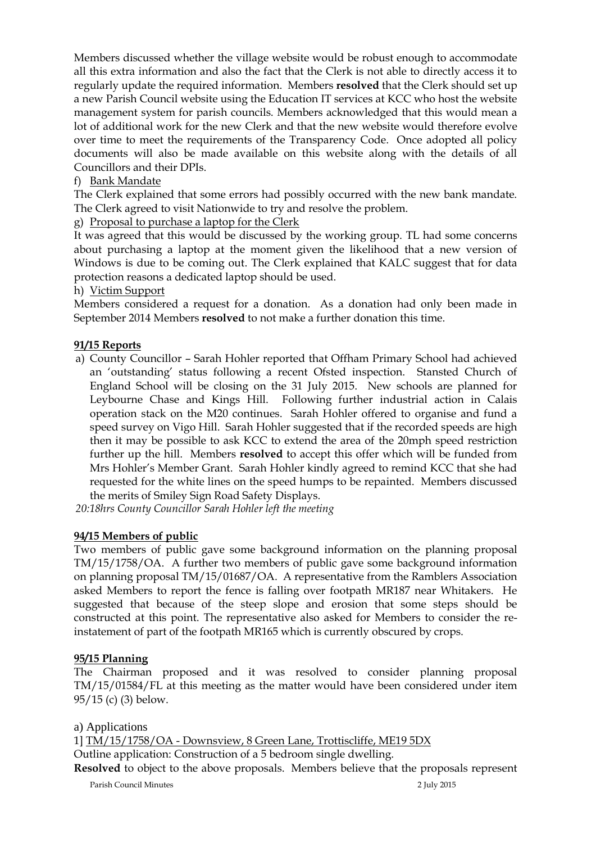Members discussed whether the village website would be robust enough to accommodate all this extra information and also the fact that the Clerk is not able to directly access it to regularly update the required information. Members **resolved** that the Clerk should set up a new Parish Council website using the Education IT services at KCC who host the website management system for parish councils. Members acknowledged that this would mean a lot of additional work for the new Clerk and that the new website would therefore evolve over time to meet the requirements of the Transparency Code. Once adopted all policy documents will also be made available on this website along with the details of all Councillors and their DPIs.

# f) Bank Mandate

The Clerk explained that some errors had possibly occurred with the new bank mandate. The Clerk agreed to visit Nationwide to try and resolve the problem.

# g) Proposal to purchase a laptop for the Clerk

It was agreed that this would be discussed by the working group. TL had some concerns about purchasing a laptop at the moment given the likelihood that a new version of Windows is due to be coming out. The Clerk explained that KALC suggest that for data protection reasons a dedicated laptop should be used.

## h) Victim Support

Members considered a request for a donation. As a donation had only been made in September 2014 Members **resolved** to not make a further donation this time.

# **91/15 Reports**

a) County Councillor – Sarah Hohler reported that Offham Primary School had achieved an 'outstanding' status following a recent Ofsted inspection. Stansted Church of England School will be closing on the 31 July 2015. New schools are planned for Leybourne Chase and Kings Hill. Following further industrial action in Calais operation stack on the M20 continues. Sarah Hohler offered to organise and fund a speed survey on Vigo Hill. Sarah Hohler suggested that if the recorded speeds are high then it may be possible to ask KCC to extend the area of the 20mph speed restriction further up the hill. Members **resolved** to accept this offer which will be funded from Mrs Hohler's Member Grant. Sarah Hohler kindly agreed to remind KCC that she had requested for the white lines on the speed humps to be repainted. Members discussed the merits of Smiley Sign Road Safety Displays.

*20:18hrs County Councillor Sarah Hohler left the meeting* 

## **94/15 Members of public**

Two members of public gave some background information on the planning proposal TM/15/1758/OA. A further two members of public gave some background information on planning proposal TM/15/01687/OA. A representative from the Ramblers Association asked Members to report the fence is falling over footpath MR187 near Whitakers. He suggested that because of the steep slope and erosion that some steps should be constructed at this point. The representative also asked for Members to consider the reinstatement of part of the footpath MR165 which is currently obscured by crops.

## **95/15 Planning**

The Chairman proposed and it was resolved to consider planning proposal TM/15/01584/FL at this meeting as the matter would have been considered under item 95/15 (c) (3) below.

#### a) Applications

1] TM/15/1758/OA - Downsview, 8 Green Lane, Trottiscliffe, ME19 5DX

Outline application: Construction of a 5 bedroom single dwelling.

**Resolved** to object to the above proposals. Members believe that the proposals represent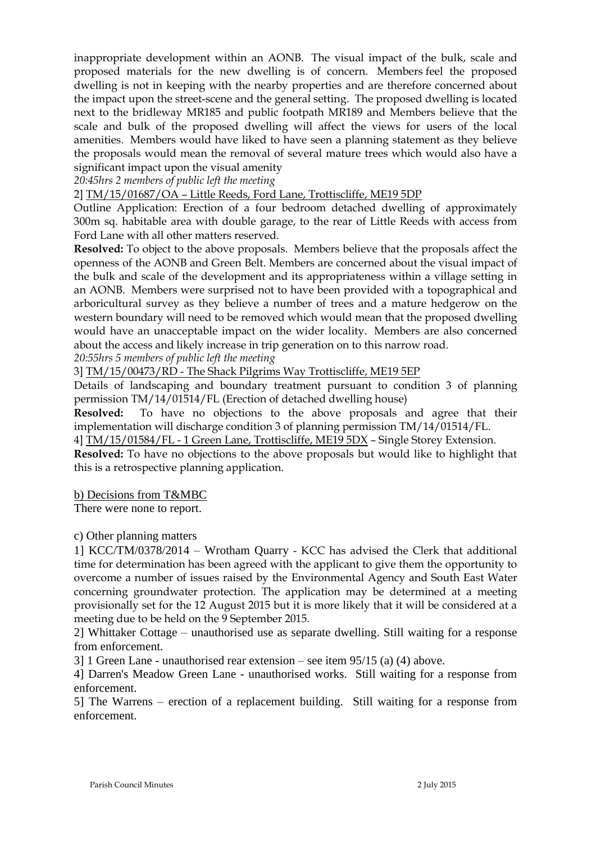inappropriate development within an AONB. The visual impact of the bulk, scale and proposed materials for the new dwelling is of concern. Members feel the proposed dwelling is not in keeping with the nearby properties and are therefore concerned about the impact upon the street-scene and the general setting. The proposed dwelling is located next to the bridleway MR185 and public footpath MR189 and Members believe that the scale and bulk of the proposed dwelling will affect the views for users of the local amenities. Members would have liked to have seen a planning statement as they believe the proposals would mean the removal of several mature trees which would also have a significant impact upon the visual amenity

*20:45hrs 2 members of public left the meeting*

2] TM/15/01687/OA – Little Reeds, Ford Lane, Trottiscliffe, ME19 5DP

Outline Application: Erection of a four bedroom detached dwelling of approximately 300m sq. habitable area with double garage, to the rear of Little Reeds with access from Ford Lane with all other matters reserved.

**Resolved:** To object to the above proposals. Members believe that the proposals affect the openness of the AONB and Green Belt. Members are concerned about the visual impact of the bulk and scale of the development and its appropriateness within a village setting in an AONB. Members were surprised not to have been provided with a topographical and arboricultural survey as they believe a number of trees and a mature hedgerow on the western boundary will need to be removed which would mean that the proposed dwelling would have an unacceptable impact on the wider locality. Members are also concerned about the access and likely increase in trip generation on to this narrow road.

*20:55hrs 5 members of public left the meeting*

3] TM/15/00473/RD - The Shack Pilgrims Way Trottiscliffe, ME19 5EP

Details of landscaping and boundary treatment pursuant to condition 3 of planning permission TM/14/01514/FL (Erection of detached dwelling house)

**Resolved:** To have no objections to the above proposals and agree that their implementation will discharge condition 3 of planning permission TM/14/01514/FL.

4] TM/15/01584/FL - 1 Green Lane, Trottiscliffe, ME19 5DX – Single Storey Extension.

**Resolved:** To have no objections to the above proposals but would like to highlight that this is a retrospective planning application.

b) Decisions from T&MBC

There were none to report.

c) Other planning matters

1] KCC/TM/0378/2014 – Wrotham Quarry - KCC has advised the Clerk that additional time for determination has been agreed with the applicant to give them the opportunity to overcome a number of issues raised by the Environmental Agency and South East Water concerning groundwater protection. The application may be determined at a meeting provisionally set for the 12 August 2015 but it is more likely that it will be considered at a meeting due to be held on the 9 September 2015.

2] Whittaker Cottage – unauthorised use as separate dwelling. Still waiting for a response from enforcement.

3] 1 Green Lane - unauthorised rear extension – see item 95/15 (a) (4) above.

4] Darren's Meadow Green Lane - unauthorised works. Still waiting for a response from enforcement.

5] The Warrens – erection of a replacement building. Still waiting for a response from enforcement.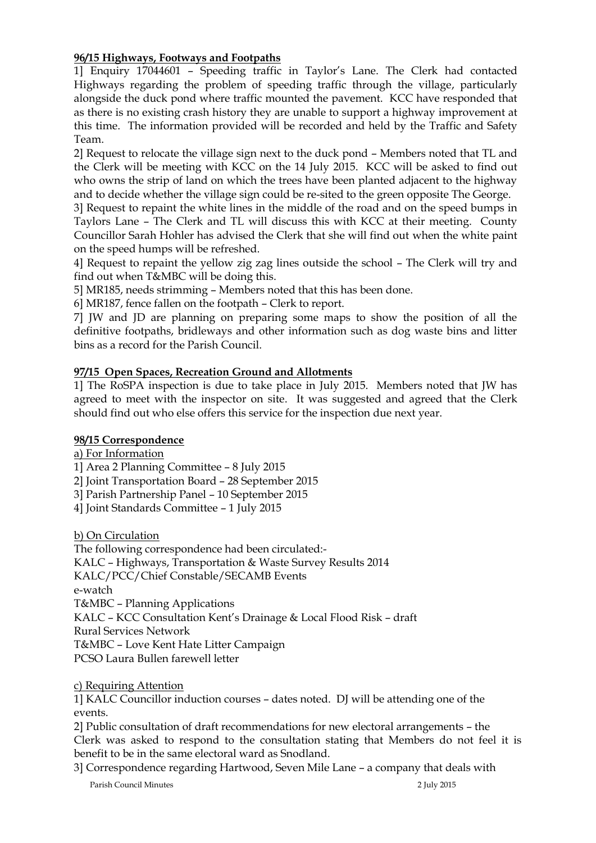# **96/15 Highways, Footways and Footpaths**

1] Enquiry 17044601 – Speeding traffic in Taylor's Lane. The Clerk had contacted Highways regarding the problem of speeding traffic through the village, particularly alongside the duck pond where traffic mounted the pavement. KCC have responded that as there is no existing crash history they are unable to support a highway improvement at this time. The information provided will be recorded and held by the Traffic and Safety Team.

2] Request to relocate the village sign next to the duck pond – Members noted that TL and the Clerk will be meeting with KCC on the 14 July 2015. KCC will be asked to find out who owns the strip of land on which the trees have been planted adjacent to the highway and to decide whether the village sign could be re-sited to the green opposite The George.

3] Request to repaint the white lines in the middle of the road and on the speed bumps in Taylors Lane – The Clerk and TL will discuss this with KCC at their meeting. County Councillor Sarah Hohler has advised the Clerk that she will find out when the white paint on the speed humps will be refreshed.

4] Request to repaint the yellow zig zag lines outside the school – The Clerk will try and find out when T&MBC will be doing this.

5] MR185, needs strimming – Members noted that this has been done.

6] MR187, fence fallen on the footpath – Clerk to report.

7] JW and JD are planning on preparing some maps to show the position of all the definitive footpaths, bridleways and other information such as dog waste bins and litter bins as a record for the Parish Council.

# **97/15 Open Spaces, Recreation Ground and Allotments**

1] The RoSPA inspection is due to take place in July 2015. Members noted that JW has agreed to meet with the inspector on site. It was suggested and agreed that the Clerk should find out who else offers this service for the inspection due next year.

## **98/15 Correspondence**

a) For Information

1] Area 2 Planning Committee – 8 July 2015

2] Joint Transportation Board – 28 September 2015

3] Parish Partnership Panel – 10 September 2015

4] Joint Standards Committee – 1 July 2015

b) On Circulation

The following correspondence had been circulated:- KALC – Highways, Transportation & Waste Survey Results 2014 KALC/PCC/Chief Constable/SECAMB Events e-watch T&MBC – Planning Applications KALC – KCC Consultation Kent's Drainage & Local Flood Risk – draft Rural Services Network T&MBC – Love Kent Hate Litter Campaign PCSO Laura Bullen farewell letter

c) Requiring Attention

1] KALC Councillor induction courses – dates noted. DJ will be attending one of the events.

2] Public consultation of draft recommendations for new electoral arrangements – the Clerk was asked to respond to the consultation stating that Members do not feel it is benefit to be in the same electoral ward as Snodland.

3] Correspondence regarding Hartwood, Seven Mile Lane – a company that deals with